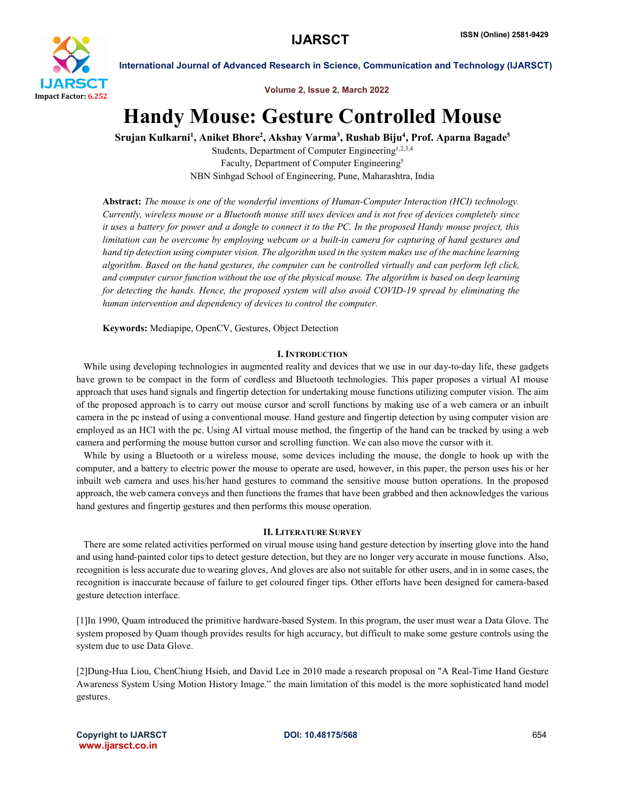

Volume 2, Issue 2, March 2022

# Handy Mouse: Gesture Controlled Mouse

Srujan Kulkarni<sup>1</sup>, Aniket Bhore<sup>2</sup>, Akshay Varma<sup>3</sup>, Rushab Biju<sup>4</sup>, Prof. Aparna Bagade<sup>5</sup>

Students, Department of Computer Engineering<sup>1,2,3,4</sup> Faculty, Department of Computer Engineering<sup>5</sup> NBN Sinhgad School of Engineering, Pune, Maharashtra, India

Abstract: *The mouse is one of the wonderful inventions of Human-Computer Interaction (HCI) technology. Currently, wireless mouse or a Bluetooth mouse still uses devices and is not free of devices completely since it uses a battery for power and a dongle to connect it to the PC. In the proposed Handy mouse project, this limitation can be overcome by employing webcam or a built-in camera for capturing of hand gestures and hand tip detection using computer vision. The algorithm used in the system makes use of the machine learning algorithm. Based on the hand gestures, the computer can be controlled virtually and can perform left click, and computer cursor function without the use of the physical mouse. The algorithm is based on deep learning for detecting the hands. Hence, the proposed system will also avoid COVID-19 spread by eliminating the human intervention and dependency of devices to control the computer.*

Keywords: Mediapipe, OpenCV, Gestures, Object Detection

# I. INTRODUCTION

While using developing technologies in augmented reality and devices that we use in our day-to-day life, these gadgets have grown to be compact in the form of cordless and Bluetooth technologies. This paper proposes a virtual AI mouse approach that uses hand signals and fingertip detection for undertaking mouse functions utilizing computer vision. The aim of the proposed approach is to carry out mouse cursor and scroll functions by making use of a web camera or an inbuilt camera in the pc instead of using a conventional mouse. Hand gesture and fingertip detection by using computer vision are employed as an HCI with the pc. Using AI virtual mouse method, the fingertip of the hand can be tracked by using a web camera and performing the mouse button cursor and scrolling function. We can also move the cursor with it.

 While by using a Bluetooth or a wireless mouse, some devices including the mouse, the dongle to hook up with the computer, and a battery to electric power the mouse to operate are used, however, in this paper, the person uses his or her inbuilt web camera and uses his/her hand gestures to command the sensitive mouse button operations. In the proposed approach, the web camera conveys and then functions the frames that have been grabbed and then acknowledges the various hand gestures and fingertip gestures and then performs this mouse operation.

### II. LITERATURE SURVEY

 There are some related activities performed on virual mouse using hand gesture detection by inserting glove into the hand and using hand-painted color tips to detect gesture detection, but they are no longer very accurate in mouse functions. Also, recognition is less accurate due to wearing gloves, And gloves are also not suitable for other users, and in in some cases, the recognition is inaccurate because of failure to get coloured finger tips. Other efforts have been designed for camera-based gesture detection interface.

[1]In 1990, Quam introduced the primitive hardware-based System. In this program, the user must wear a Data Glove. The system proposed by Quam though provides results for high accuracy, but difficult to make some gesture controls using the system due to use Data Glove.

[2]Dung-Hua Liou, ChenChiung Hsieh, and David Lee in 2010 made a research proposal on "A Real-Time Hand Gesture Awareness System Using Motion History Image." the main limitation of this model is the more sophisticated hand model gestures.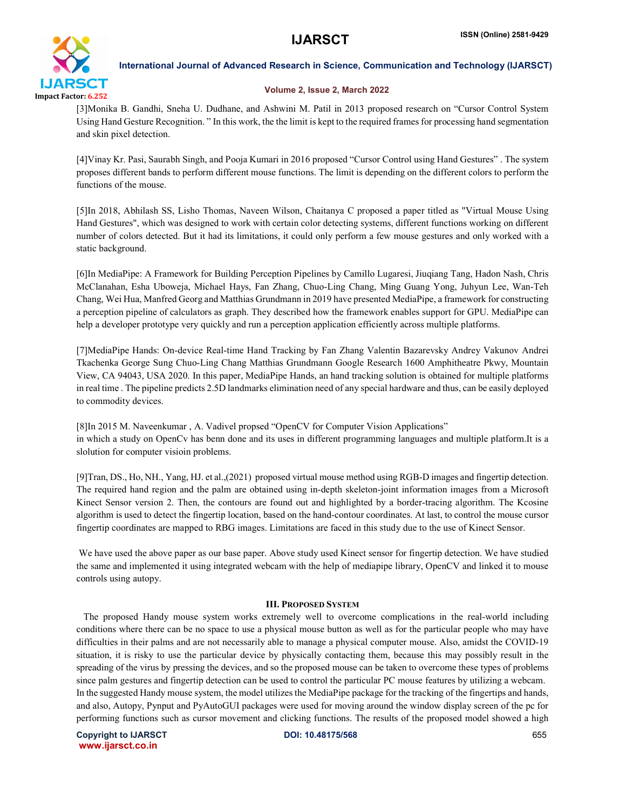

# Volume 2, Issue 2, March 2022

[3]Monika B. Gandhi, Sneha U. Dudhane, and Ashwini M. Patil in 2013 proposed research on "Cursor Control System Using Hand Gesture Recognition. " In this work, the the limit is kept to the required frames for processing hand segmentation and skin pixel detection.

[4]Vinay Kr. Pasi, Saurabh Singh, and Pooja Kumari in 2016 proposed "Cursor Control using Hand Gestures" . The system proposes different bands to perform different mouse functions. The limit is depending on the different colors to perform the functions of the mouse.

[5]In 2018, Abhilash SS, Lisho Thomas, Naveen Wilson, Chaitanya C proposed a paper titled as "Virtual Mouse Using Hand Gestures", which was designed to work with certain color detecting systems, different functions working on different number of colors detected. But it had its limitations, it could only perform a few mouse gestures and only worked with a static background.

[6]In MediaPipe: A Framework for Building Perception Pipelines by Camillo Lugaresi, Jiuqiang Tang, Hadon Nash, Chris McClanahan, Esha Uboweja, Michael Hays, Fan Zhang, Chuo-Ling Chang, Ming Guang Yong, Juhyun Lee, Wan-Teh Chang, Wei Hua, Manfred Georg and Matthias Grundmann in 2019 have presented MediaPipe, a framework for constructing a perception pipeline of calculators as graph. They described how the framework enables support for GPU. MediaPipe can help a developer prototype very quickly and run a perception application efficiently across multiple platforms.

[7]MediaPipe Hands: On-device Real-time Hand Tracking by Fan Zhang Valentin Bazarevsky Andrey Vakunov Andrei Tkachenka George Sung Chuo-Ling Chang Matthias Grundmann Google Research 1600 Amphitheatre Pkwy, Mountain View, CA 94043, USA 2020. In this paper, MediaPipe Hands, an hand tracking solution is obtained for multiple platforms in real time . The pipeline predicts 2.5D landmarks elimination need of any special hardware and thus, can be easily deployed to commodity devices.

[8]In 2015 M. Naveenkumar , A. Vadivel propsed "OpenCV for Computer Vision Applications" in which a study on OpenCv has benn done and its uses in different programming languages and multiple platform.It is a slolution for computer visioin problems.

[9]Tran, DS., Ho, NH., Yang, HJ. et al.,(2021) proposed virtual mouse method using RGB-D images and fingertip detection. The required hand region and the palm are obtained using in-depth skeleton-joint information images from a Microsoft Kinect Sensor version 2. Then, the contours are found out and highlighted by a border-tracing algorithm. The Kcosine algorithm is used to detect the fingertip location, based on the hand-contour coordinates. At last, to control the mouse cursor fingertip coordinates are mapped to RBG images. Limitations are faced in this study due to the use of Kinect Sensor.

We have used the above paper as our base paper. Above study used Kinect sensor for fingertip detection. We have studied the same and implemented it using integrated webcam with the help of mediapipe library, OpenCV and linked it to mouse controls using autopy.

# III. PROPOSED SYSTEM

 The proposed Handy mouse system works extremely well to overcome complications in the real-world including conditions where there can be no space to use a physical mouse button as well as for the particular people who may have difficulties in their palms and are not necessarily able to manage a physical computer mouse. Also, amidst the COVID-19 situation, it is risky to use the particular device by physically contacting them, because this may possibly result in the spreading of the virus by pressing the devices, and so the proposed mouse can be taken to overcome these types of problems since palm gestures and fingertip detection can be used to control the particular PC mouse features by utilizing a webcam. In the suggested Handy mouse system, the model utilizes the MediaPipe package for the tracking of the fingertips and hands, and also, Autopy, Pynput and PyAutoGUI packages were used for moving around the window display screen of the pc for performing functions such as cursor movement and clicking functions. The results of the proposed model showed a high

Copyright to IJARSCT DOI: 10.48175/568 655 www.ijarsct.co.in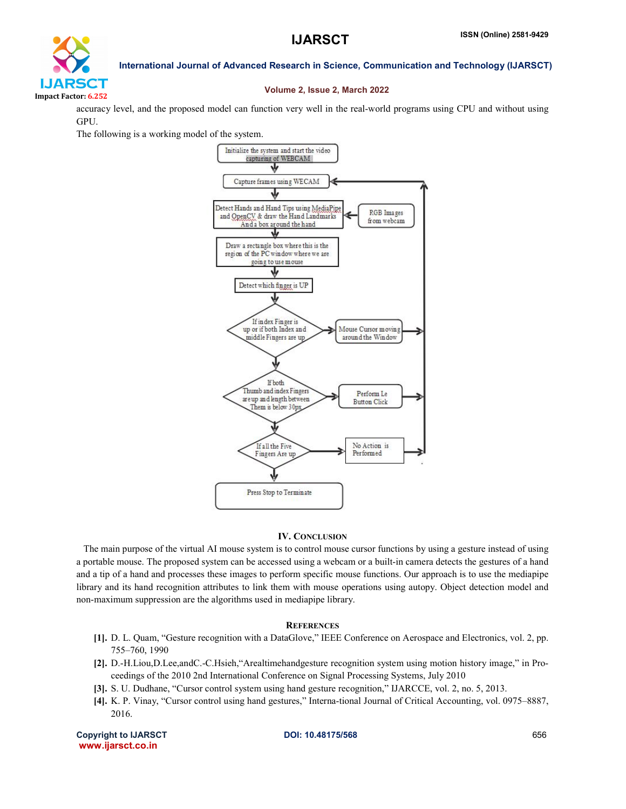

### Volume 2, Issue 2, March 2022

accuracy level, and the proposed model can function very well in the real-world programs using CPU and without using GPU.

The following is a working model of the system.



### IV. CONCLUSION

 The main purpose of the virtual AI mouse system is to control mouse cursor functions by using a gesture instead of using a portable mouse. The proposed system can be accessed using a webcam or a built-in camera detects the gestures of a hand and a tip of a hand and processes these images to perform specific mouse functions. Our approach is to use the mediapipe library and its hand recognition attributes to link them with mouse operations using autopy. Object detection model and non-maximum suppression are the algorithms used in mediapipe library.

#### **REFERENCES**

- [1]. D. L. Quam, "Gesture recognition with a DataGlove," IEEE Conference on Aerospace and Electronics, vol. 2, pp. 755–760, 1990
- [2]. D.-H.Liou,D.Lee,andC.-C.Hsieh,"Arealtimehandgesture recognition system using motion history image," in Proceedings of the 2010 2nd International Conference on Signal Processing Systems, July 2010
- [3]. S. U. Dudhane, "Cursor control system using hand gesture recognition," IJARCCE, vol. 2, no. 5, 2013.
- [4]. K. P. Vinay, "Cursor control using hand gestures," Interna-tional Journal of Critical Accounting, vol. 0975–8887, 2016.

Copyright to IJARSCT **DOI: 10.48175/568 Copyright to IJARSCT** 656 www.ijarsct.co.in